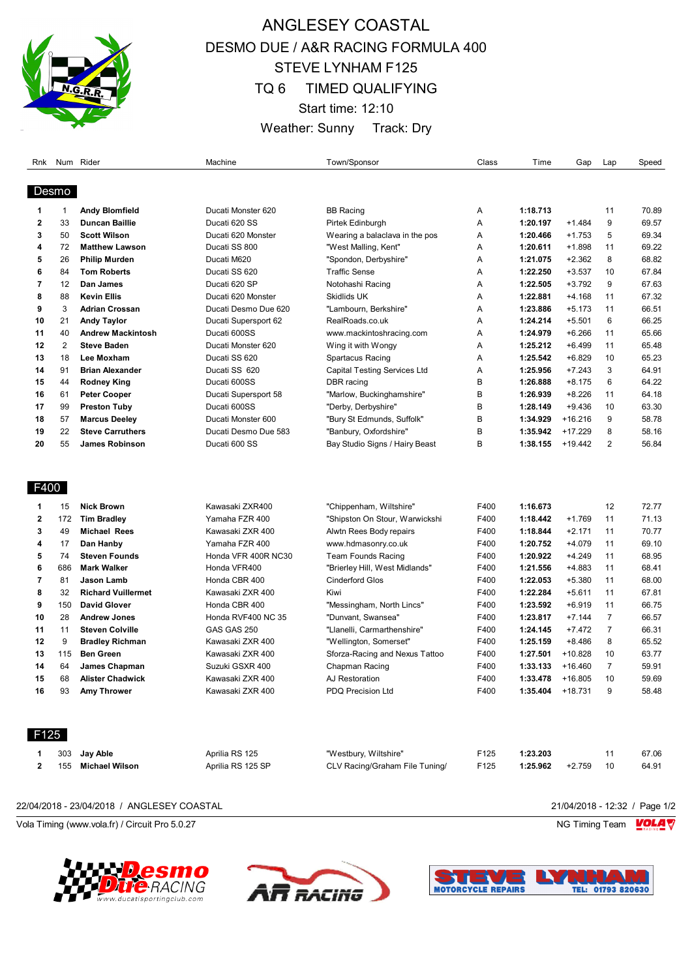

# ANGLESEY COASTAL DESMO DUE / A&R RACING FORMULA 400 STEVE LYNHAM F125 TQ 6 TIMED QUALIFYING Start time: 12:10 Weather: Sunny Track: Dry

| Rnk  |                | Num Rider                 | Machine              | Town/Sponsor                   | Class | Time     | Gap       | Lap            | Speed |
|------|----------------|---------------------------|----------------------|--------------------------------|-------|----------|-----------|----------------|-------|
|      | Desmo          |                           |                      |                                |       |          |           |                |       |
| 1    | 1              | <b>Andy Blomfield</b>     | Ducati Monster 620   | <b>BB Racing</b>               | Α     | 1:18.713 |           | 11             | 70.89 |
| 2    | 33             | <b>Duncan Baillie</b>     | Ducati 620 SS        | Pirtek Edinburgh               | Α     | 1:20.197 | $+1.484$  | 9              | 69.57 |
| 3    | 50             | <b>Scott Wilson</b>       | Ducati 620 Monster   | Wearing a balaclava in the pos | Α     | 1:20.466 | $+1.753$  | 5              | 69.34 |
| 4    | 72             | <b>Matthew Lawson</b>     | Ducati SS 800        | "West Malling, Kent"           | Α     | 1:20.611 | +1.898    | 11             | 69.22 |
| 5    | 26             | <b>Philip Murden</b>      | Ducati M620          | "Spondon, Derbyshire"          | Α     | 1:21.075 | $+2.362$  | 8              | 68.82 |
| 6    | 84             | <b>Tom Roberts</b>        | Ducati SS 620        | Traffic Sense                  | Α     | 1:22.250 | $+3.537$  | 10             | 67.84 |
| 7    | 12             | Dan James                 | Ducati 620 SP        | Notohashi Racing               | Α     | 1:22.505 | $+3.792$  | 9              | 67.63 |
| 8    | 88             | <b>Kevin Ellis</b>        | Ducati 620 Monster   | Skidlids UK                    | Α     | 1:22.881 | $+4.168$  | 11             | 67.32 |
| 9    | 3              | <b>Adrian Crossan</b>     | Ducati Desmo Due 620 | "Lambourn, Berkshire"          | Α     | 1:23.886 | $+5.173$  | 11             | 66.51 |
| 10   | 21             | <b>Andy Taylor</b>        | Ducati Supersport 62 | RealRoads.co.uk                | Α     | 1:24.214 | $+5.501$  | 6              | 66.25 |
| 11   | 40             | <b>Andrew Mackintosh</b>  | Ducati 600SS         | www.mackintoshracing.com       | Α     | 1:24.979 | $+6.266$  | 11             | 65.66 |
| 12   | $\overline{2}$ | <b>Steve Baden</b>        | Ducati Monster 620   | Wing it with Wongy             | Α     | 1:25.212 | $+6.499$  | 11             | 65.48 |
| 13   | 18             | Lee Moxham                | Ducati SS 620        | Spartacus Racing               | Α     | 1:25.542 | $+6.829$  | 10             | 65.23 |
| 14   | 91             | <b>Brian Alexander</b>    | Ducati SS 620        | Capital Testing Services Ltd   | Α     | 1:25.956 | $+7.243$  | 3              | 64.91 |
| 15   | 44             | <b>Rodney King</b>        | Ducati 600SS         | DBR racing                     | В     | 1:26.888 | $+8.175$  | 6              | 64.22 |
| 16   | 61             | <b>Peter Cooper</b>       | Ducati Supersport 58 | "Marlow, Buckinghamshire"      | B     | 1:26.939 | $+8.226$  | 11             | 64.18 |
| 17   | 99             | <b>Preston Tuby</b>       | Ducati 600SS         | "Derby, Derbyshire"            | B     | 1:28.149 | $+9.436$  | 10             | 63.30 |
| 18   | 57             | <b>Marcus Deeley</b>      | Ducati Monster 600   | "Bury St Edmunds, Suffolk"     | B     | 1:34.929 | $+16.216$ | 9              | 58.78 |
| 19   | 22             | <b>Steve Carruthers</b>   | Ducati Desmo Due 583 | "Banbury, Oxfordshire"         | B     | 1:35.942 | $+17.229$ | 8              | 58.16 |
| 20   | 55             | <b>James Robinson</b>     | Ducati 600 SS        | Bay Studio Signs / Hairy Beast | B     | 1:38.155 | $+19.442$ | $\overline{2}$ | 56.84 |
| F400 |                |                           |                      |                                |       |          |           |                |       |
| 1    | 15             | <b>Nick Brown</b>         | Kawasaki ZXR400      | "Chippenham, Wiltshire"        | F400  | 1:16.673 |           | 12             | 72.77 |
| 2    | 172            | <b>Tim Bradley</b>        | Yamaha FZR 400       | "Shipston On Stour, Warwickshi | F400  | 1:18.442 | $+1.769$  | 11             | 71.13 |
| 3    | 49             | Michael Rees              | Kawasaki ZXR 400     | Alwtn Rees Body repairs        | F400  | 1:18.844 | $+2.171$  | 11             | 70.77 |
| 4    | 17             | Dan Hanby                 | Yamaha FZR 400       | www.hdmasonry.co.uk            | F400  | 1:20.752 | $+4.079$  | 11             | 69.10 |
| 5    | 74             | <b>Steven Founds</b>      | Honda VFR 400R NC30  | Team Founds Racing             | F400  | 1:20.922 | $+4.249$  | 11             | 68.95 |
| 6    | 686            | <b>Mark Walker</b>        | Honda VFR400         | "Brierley Hill, West Midlands" | F400  | 1:21.556 | +4.883    | 11             | 68.41 |
| 7    | 81             | Jason Lamb                | Honda CBR 400        | <b>Cinderford Glos</b>         | F400  | 1:22.053 | $+5.380$  | 11             | 68.00 |
| 8    | 32             | <b>Richard Vuillermet</b> | Kawasaki ZXR 400     | Kiwi                           | F400  | 1:22.284 | $+5.611$  | 11             | 67.81 |
| 9    | 150            | <b>David Glover</b>       | Honda CBR 400        | "Messingham, North Lincs"      | F400  | 1:23.592 | $+6.919$  | 11             | 66.75 |
| 10   | 28             | <b>Andrew Jones</b>       | Honda RVF400 NC 35   | "Dunvant, Swansea"             | F400  | 1:23.817 | $+7.144$  | $\overline{7}$ | 66.57 |
| 11   | 11             | <b>Steven Colville</b>    | GAS GAS 250          | "Llanelli, Carmarthenshire"    | F400  | 1:24.145 | $+7.472$  | $\overline{7}$ | 66.31 |
| 12   | 9              | <b>Bradley Richman</b>    | Kawasaki ZXR 400     | "Wellington, Somerset"         | F400  | 1:25.159 | $+8.486$  | 8              | 65.52 |
| 13   | 115            | <b>Ben Green</b>          | Kawasaki ZXR 400     | Sforza-Racing and Nexus Tattoo | F400  | 1:27.501 | $+10.828$ | 10             | 63.77 |
| 14   | 64             | James Chapman             | Suzuki GSXR 400      | Chapman Racing                 | F400  | 1:33.133 | $+16.460$ | 7              | 59.91 |
| 15   | 68             | <b>Alister Chadwick</b>   | Kawasaki ZXR 400     | AJ Restoration                 | F400  | 1:33.478 | +16.805   | 10             | 59.69 |
| 16   | 93             | Amy Thrower               | Kawasaki ZXR 400     | PDQ Precision Ltd              | F400  | 1:35.404 | $+18.731$ | 9              | 58.48 |
| F125 |                |                           |                      |                                |       |          |           |                |       |
| 1    | 303            | Jay Able                  | Aprilia RS 125       | "Westbury, Wiltshire"          | F125  | 1:23.203 |           | 11             | 67.06 |
| 2    | 155            | <b>Michael Wilson</b>     | Aprilia RS 125 SP    | CLV Racing/Graham File Tuning/ | F125  | 1:25.962 | $+2.759$  | 10             | 64.91 |
|      |                |                           |                      |                                |       |          |           |                |       |

22/04/2018 - 23/04/2018 / ANGLESEY COASTAL 21/04/2018 - 12:32 / Page 1/2

Vola Timing (www.vola.fr) / Circuit Pro 5.0.27 NG Timing Team  $\blacksquare$ 







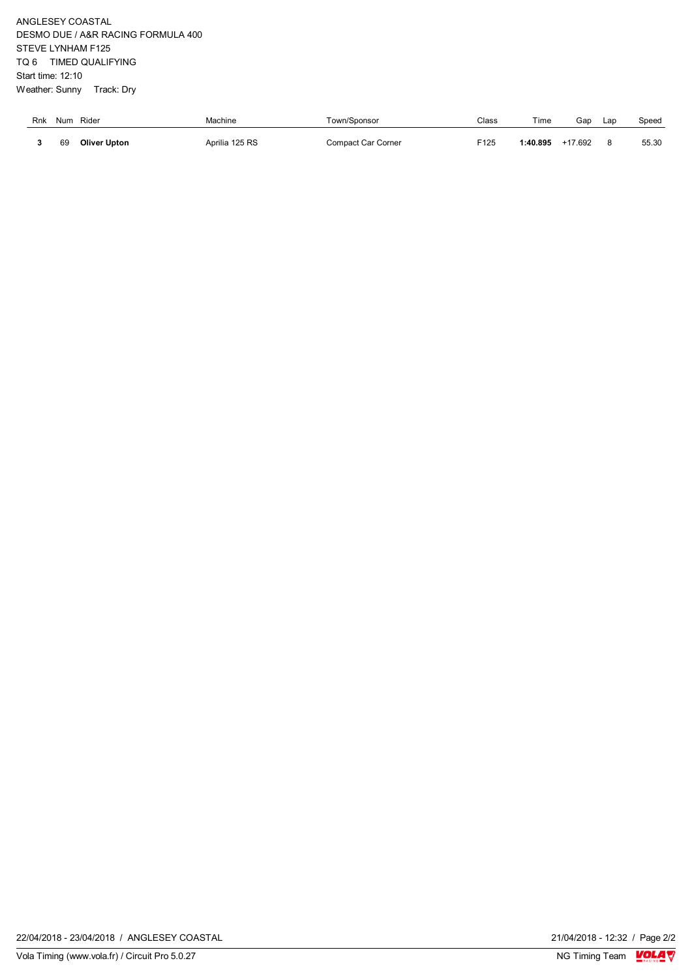ANGLESEY COASTAL DESMO DUE / A&R RACING FORMULA 400 STEVE LYNHAM F125 TQ 6 TIMED QUALIFYING Start time: 12:10 Weather: Sunny Track: Dry

| Rnk | Num | Rider               | Machine        | own/Sponsor        | Class | Time    | Gap       | Lap | Speed |
|-----|-----|---------------------|----------------|--------------------|-------|---------|-----------|-----|-------|
|     | 69  | <b>Oliver Upton</b> | Aprilia 125 RS | Compact Car Corner | F125  | :40.895 | $+17.692$ |     | 55.30 |

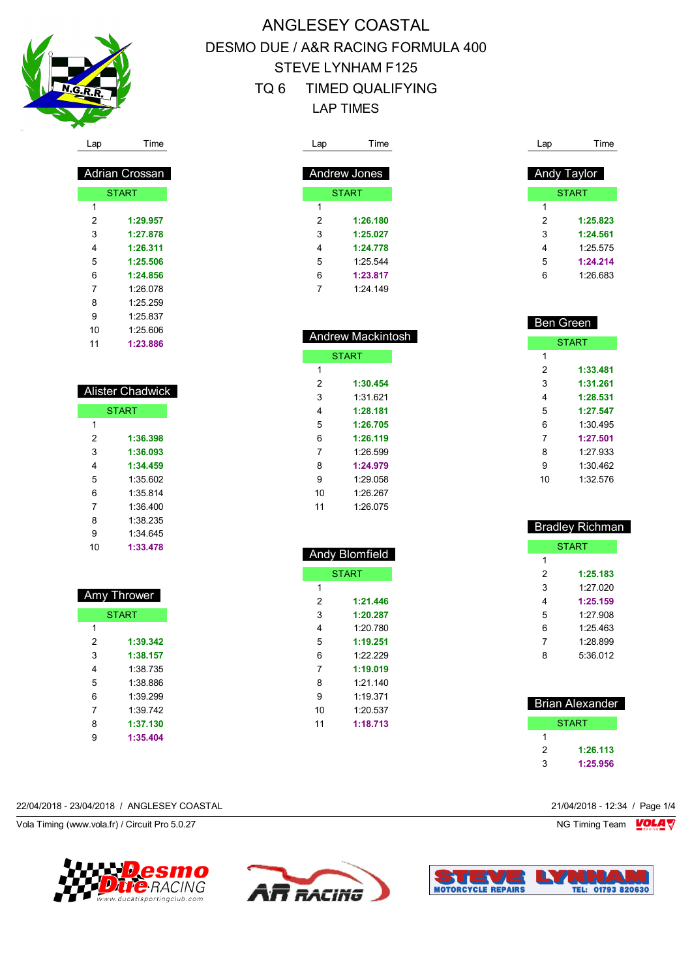

 Adrian Crossan START

 **1:29.957 1:27.878 1:26.311 1:25.506 1:24.856** 1:26.078 1:25.259 1:25.837 1:25.606 **1:23.886**

 Alister Chadwick **START** 

> **1:36.398 1:36.093 1:34.459** 1:35.602 1:35.814 1:36.400 1:38.235 1:34.645 **1:33.478**

 Amy Thrower **START** 

> **1:39.342 1:38.157** 1:38.735 1:38.886 1:39.299 1:39.742 **1:37.130 1:35.404**

# ANGLESEY COASTAL DESMO DUE / A&R RACING FORMULA 400 STEVE LYNHAM F125 TQ 6 TIMED QUALIFYING LAP TIMES

| Lap            | Time                | Lap            | Time             |
|----------------|---------------------|----------------|------------------|
|                |                     |                |                  |
|                | <b>Andrew Jones</b> |                | Andy Taylor      |
|                | <b>START</b>        |                | <b>START</b>     |
| 1              |                     | 1              |                  |
| $\overline{2}$ | 1:26.180            | $\overline{2}$ | 1:25.823         |
| 3              | 1:25.027            | 3              | 1:24.561         |
| 4              | 1:24.778            | 4              | 1:25.575         |
| 5              | 1:25.544            | 5              | 1:24.214         |
| 6              | 1:23.817            | 6              | 1:26.683         |
| $\overline{7}$ | 1:24.149            |                |                  |
|                |                     |                |                  |
|                |                     |                |                  |
|                |                     |                | <b>Ben Green</b> |
|                | Andrew Mackintosh   |                | <b>START</b>     |
|                | <b>START</b>        | 1              |                  |
| $\mathbf{1}$   |                     | $\overline{2}$ | 1:33.481         |
| $\overline{2}$ | 1:30.454            | 3              | 1:31.261         |
| 3              | 1:31.621            | 4              | 1:28.531         |
| 4              | 1:28.181            | 5              | 1:27.547         |
| 5              | 1:26.705            | 6              | 1:30.495         |
| 6              | 1:26.119            | 7              | 1:27.501         |
| $\overline{7}$ | 1:26.599            | 8              | 1:27.933         |
| 8              | 1:24.979            | 9              | 1:30.462         |
| 9              | 1:29.058            | 10             | 1:32.576         |
| 10             | 1:26.267            |                |                  |

|              | <b>Andy Blomfield</b> |  |  |  |
|--------------|-----------------------|--|--|--|
| <b>START</b> |                       |  |  |  |
| 1            |                       |  |  |  |
| 2            | 1:21.446              |  |  |  |
| 3            | 1:20.287              |  |  |  |
| 4            | 1:20.780              |  |  |  |
| 5            | 1:19.251              |  |  |  |
| 6            | 1.22.229              |  |  |  |
| 7            | 1:19.019              |  |  |  |
| 8            | 1:21.140              |  |  |  |
| 9            | 1.19.371              |  |  |  |
| 10           | 1:20.537              |  |  |  |
| 11           | 1:18.713              |  |  |  |

 $1:26.075$ 

| <b>Bradley Richman</b> |          |  |  |  |
|------------------------|----------|--|--|--|
|                        | START    |  |  |  |
| 1                      |          |  |  |  |
| 2                      | 1:25.183 |  |  |  |
| 3                      | 1.27 020 |  |  |  |
| 4                      | 1:25.159 |  |  |  |
| 5                      | 1.27.908 |  |  |  |
| 6                      | 1:25 463 |  |  |  |
| 7                      | 1.28.899 |  |  |  |
| 8                      | 5:36.012 |  |  |  |
|                        |          |  |  |  |
|                        |          |  |  |  |
| Brian Alexander        |          |  |  |  |

| υπαπ ∧ι⊽∧απν⊽ι |  |  |  |
|----------------|--|--|--|
| START          |  |  |  |
|                |  |  |  |
| 1:26.113<br>2  |  |  |  |
| 3<br>1:25.956  |  |  |  |
|                |  |  |  |

#### 22/04/2018 - 23/04/2018 / ANGLESEY COASTAL 21/04/2018 - 12:34 / Page 1/4

Vola Timing (www.vola.fr) / Circuit Pro 5.0.27 NG Timing Team Note that the set of the set of the set of the set of the set of the set of the set of the set of the set of the set of the set of the set of the set of the set





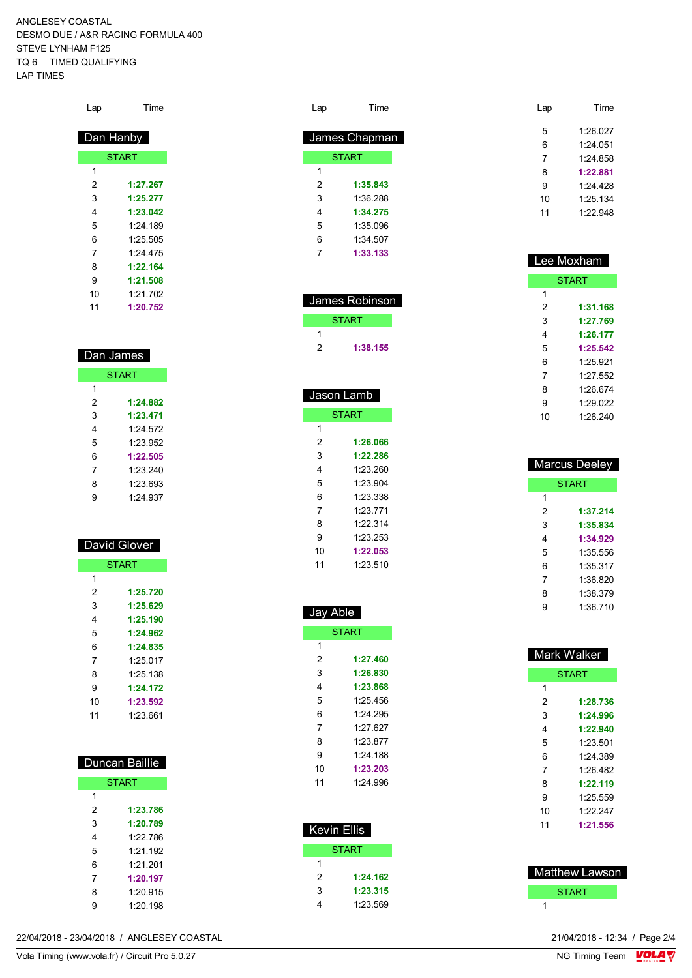ANGLESEY COASTAL DESMO DUE / A&R RACING FORMULA 400 STEVE LYNHAM F125 TQ 6 TIMED QUALIFYING LAP TIMES

| Lap | Time         |
|-----|--------------|
|     |              |
|     | Dan Hanby    |
|     | <b>START</b> |
| 1   |              |
| 2   | 1:27.267     |
| 3   | 1:25.277     |
| 4   | 1:23.042     |
| 5   | 1:24.189     |
| 6   | 1:25.505     |
| 7   | 1:24.475     |
| 8   | 1:22.164     |
| 9   | 1:21.508     |
| 10  | 1:21.702     |
| 11  | 1:20.752     |

| Dan James    |          |  |  |  |
|--------------|----------|--|--|--|
| <b>START</b> |          |  |  |  |
| 1            |          |  |  |  |
| 2            | 1:24.882 |  |  |  |
| 3            | 1:23.471 |  |  |  |
| 4            | 1.24 572 |  |  |  |
| 5            | 1.23.952 |  |  |  |
| 6            | 1:22.505 |  |  |  |
| 7            | 1.23.240 |  |  |  |
| 8            | 1.23 693 |  |  |  |
| 9            | 1.24 937 |  |  |  |

| <b>David Glover</b> |              |  |
|---------------------|--------------|--|
|                     | <b>START</b> |  |
| 1                   |              |  |
| 2                   | 1:25.720     |  |
| 3                   | 1:25.629     |  |
| 4                   | 1:25.190     |  |
| 5                   | 1:24.962     |  |
| 6                   | 1:24.835     |  |
| 7                   | 1:25.017     |  |
| 8                   | 1:25.138     |  |
| 9                   | 1:24.172     |  |
| 10                  | 1:23.592     |  |
| 11                  | 1.23.661     |  |

| Duncan Baillie |            |  |  |  |
|----------------|------------|--|--|--|
| <b>START</b>   |            |  |  |  |
| 1              |            |  |  |  |
| 2              | 1:23.786   |  |  |  |
| 3              | 1:20.789   |  |  |  |
| 4              | 1.22 786   |  |  |  |
| 5              | $1.21$ 192 |  |  |  |
| 6              | 1.21.201   |  |  |  |
| 7              | 1:20.197   |  |  |  |
| 8              | 1:20.915   |  |  |  |
| 9              | 1.20 198   |  |  |  |

| Lap | Time          |
|-----|---------------|
|     |               |
|     | James Chapman |
|     | <b>START</b>  |
| 1   |               |
| 2   | 1:35.843      |
| 3   | 1:36 288      |
| 4   | 1:34.275      |
| 5   | 1:35096       |
| 6   | 1:34 507      |
| 7   | 1:33.133      |

| James Robinson |          |  |
|----------------|----------|--|
| <b>START</b>   |          |  |
|                |          |  |
| 2              | 1:38.155 |  |
|                |          |  |

| <u>Jason Lamb</u> |          |
|-------------------|----------|
| <b>START</b>      |          |
| 1                 |          |
| 2                 | 1:26.066 |
| 3                 | 1:22.286 |
| 4                 | 1:23.260 |
| 5                 | 1.23904  |
| 6                 | 1:23.338 |
| 7                 | 1.23 771 |
| 8                 | 1.22.314 |
| 9                 | 1:23.253 |
| 10                | 1:22.053 |
| 11                | 1:23.510 |

Jay Able

 Kevin Ellis START

> **1:24.162 1:23.315** 1:23.569

START

 **1:27.460 1:26.830 1:23.868** 1:25.456 1:24.295 1:27.627 1:23.877 1:24.188 **1:23.203** 1:24.996

| Lap | Time     |
|-----|----------|
|     | 1.26 027 |
| 5   |          |
| 6   | 1.24 051 |
| 7   | 1:24.858 |
| 8   | 1:22.881 |
| 9   | 1.24 428 |
| 10  | 1:25.134 |
| 11  | 1.22948  |

| Lee Moxham   |          |
|--------------|----------|
| <b>START</b> |          |
| 1            |          |
| 2            | 1:31.168 |
| 3            | 1:27.769 |
| 4            | 1:26.177 |
| 5            | 1:25.542 |
| 6            | 1.25 921 |
| 7            | 1.27552  |
| 8            | 1.26.674 |
| 9            | 1.29022  |
| 10           | 1.26.240 |

| Marcus Deeley |          |
|---------------|----------|
| <b>START</b>  |          |
| 1             |          |
| 2             | 1:37.214 |
| 3             | 1:35.834 |
| 4             | 1:34.929 |
| 5             | 1:35 556 |
| 6             | 1:35.317 |
| 7             | 1:36.820 |
| 8             | 1:38.379 |
| 9             | 1:36.710 |

| <b>Mark Walker</b> |              |
|--------------------|--------------|
|                    | <b>START</b> |
| 1                  |              |
| 2                  | 1:28.736     |
| 3                  | 1:24.996     |
| 4                  | 1:22.940     |
| 5                  | 1.23.501     |
| 6                  | 1:24 389     |
| 7                  | 1.26.482     |
| 8                  | 1:22.119     |
| 9                  | 1.25 559     |
| 10                 | 1.22247      |
| 11                 | 1:21.556     |
|                    |              |
|                    |              |

| Matthew Lawson |
|----------------|
| <b>START</b>   |
|                |

22/04/2018 - 23/04/2018 / ANGLESEY COASTAL

Vola Timing (www.vola.fr) / Circuit Pro 5.0.27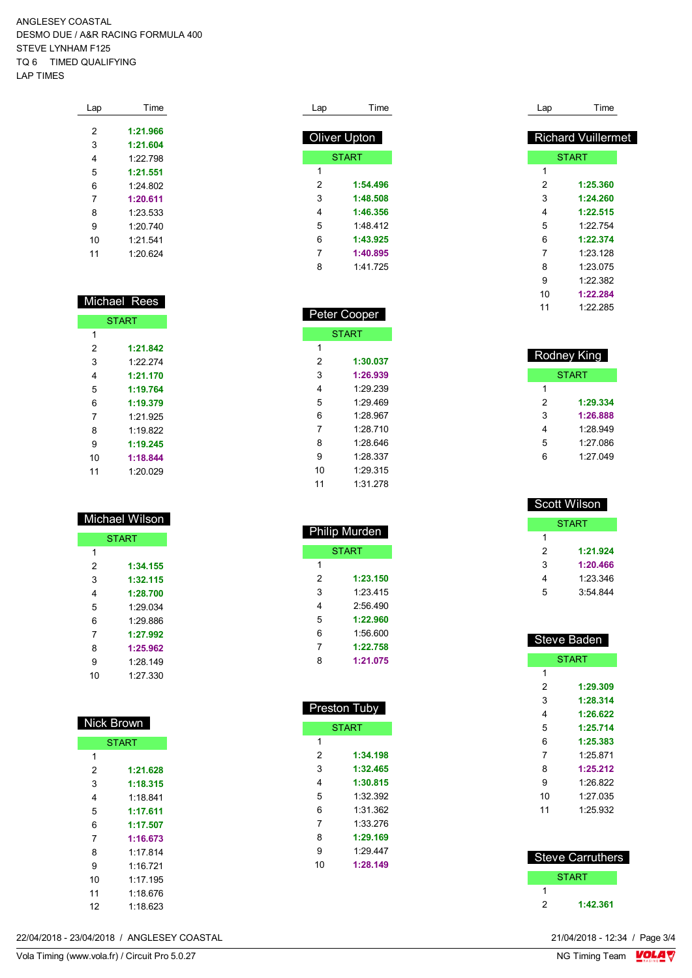ANGLESEY COASTAL DESMO DUE / A&R RACING FORMULA 400 STEVE LYNHAM F125 TQ 6 TIMED QUALIFYING LAP TIMES

| Lap | Time     |
|-----|----------|
|     |          |
| 2   | 1:21.966 |
| 3   | 1:21.604 |
| 4   | 1.22798  |
| 5   | 1:21.551 |
| 6   | 1.24 802 |
| 7   | 1:20.611 |
| 8   | 1:23.533 |
| 9   | 1:20.740 |
| 10  | 1:21.541 |
| 11  | 1:20.624 |

|              | Michael Rees |
|--------------|--------------|
| <b>START</b> |              |
| 1            |              |
| 2            | 1:21.842     |
| 3            | 1.22.274     |
| 4            | 1:21.170     |
| 5            | 1:19.764     |
| 6            | 1:19.379     |
| 7            | 1.21.925     |
| 8            | 1.19822      |
| 9            | 1:19.245     |
| 10           | 1:18.844     |
| 11           | 1:20.029     |

|    | Michael Wilson |
|----|----------------|
|    | <b>START</b>   |
| 1  |                |
| 2  | 1:34.155       |
| 3  | 1:32.115       |
| 4  | 1:28.700       |
| 5  | 1:29.034       |
| 6  | 1.29.886       |
| 7  | 1:27.992       |
| 8  | 1:25.962       |
| 9  | 1.28 149       |
| 10 | 1.27 330       |

| Nick Brown   |          |  |
|--------------|----------|--|
| <b>START</b> |          |  |
| 1            |          |  |
| 2            | 1:21.628 |  |
| 3            | 1:18.315 |  |
| 4            | 1:18.841 |  |
| 5            | 1:17.611 |  |
| 6            | 1:17.507 |  |
| 7            | 1:16.673 |  |
| 8            | 1.17814  |  |
| 9            | 1.16 721 |  |
| 10           | 1:17.195 |  |
| 11           | 1.18 676 |  |
| 12           | 1:18.623 |  |

| 21/04/2018 - 12:34 / Page 3/4<br>22/04/2018 - 23/04/2018 / ANGLESEY COASTAL |
|-----------------------------------------------------------------------------|
|-----------------------------------------------------------------------------|

| Lap          | Time         |
|--------------|--------------|
| Oliver Upton |              |
|              | <b>START</b> |
| 1            |              |
| 2            | 1:54.496     |
| 3            | 1:48.508     |
| 4            | 1:46.356     |
| 5            | 1:48 412     |
| 6            | 1:43.925     |
| 7            | 1:40.895     |
| 8            | 1 41 725     |
|              |              |

| Peter Cooper |              |  |
|--------------|--------------|--|
|              | <b>START</b> |  |
| 1            |              |  |
| 2            | 1:30.037     |  |
| 3            | 1:26.939     |  |
| 4            | 1:29.239     |  |
| 5            | 1.29469      |  |
| 6            | 1.28.967     |  |
| 7            | 1.28 710     |  |
| 8            | 1.28.646     |  |
| 9            | 1.28.337     |  |
| 10           | 1.29.315     |  |
| 11           | 1:31.278     |  |
|              |              |  |

| Philip Murden |              |  |
|---------------|--------------|--|
|               | <b>START</b> |  |
| 1             |              |  |
| 2             | 1:23.150     |  |
| 3             | 1.23 415     |  |
| 4             | 2:56 490     |  |
| 5             | 1:22.960     |  |
| 6             | 1:56.600     |  |
| 7             | 1:22.758     |  |
| 8             | 1:21.075     |  |

| Preston Tuby |              |
|--------------|--------------|
|              | <b>START</b> |
| 1            |              |
| 2            | 1:34.198     |
| 3            | 1:32.465     |
| 4            | 1:30.815     |
| 5            | 1:32.392     |
| 6            | 1:31.362     |
| 7            | 1:33 276     |
| 8            | 1:29.169     |
| 9            | 1.29 447     |
| 10           | 1:28.149     |
|              |              |
|              |              |

| Lap | Time                      |
|-----|---------------------------|
|     |                           |
|     | <b>Richard Vuillermet</b> |
|     | <b>START</b>              |
| 1   |                           |
| 2   | 1:25.360                  |
| 3   | 1:24.260                  |
| 4   | 1:22.515                  |
| 5   | 1.22754                   |
| 6   | 1:22.374                  |
| 7   | 1:23.128                  |
| 8   | 1:23.075                  |
| 9   | 1:22.382                  |
| 10  | 1:22.284                  |
| 11  | 1:22.285                  |
|     |                           |

| Rodney King |              |  |
|-------------|--------------|--|
|             | <b>START</b> |  |
| 1           |              |  |
| 2           | 1:29.334     |  |
| 3           | 1:26.888     |  |
| 4           | 1.28.949     |  |
| 5           | 1:27.086     |  |
| 6           | 1.27.049     |  |

| Scott Wils <u>on</u> |          |  |
|----------------------|----------|--|
| START                |          |  |
| 1                    |          |  |
| 2                    | 1:21.924 |  |
| 3                    | 1:20.466 |  |
| 4                    | 1:23.346 |  |
| 5                    | 3.54.844 |  |

| Steve Baden    |              |  |
|----------------|--------------|--|
|                | <b>START</b> |  |
| 1              |              |  |
| 2              | 1:29.309     |  |
| 3              | 1:28.314     |  |
| 4              | 1:26.622     |  |
| 5              | 1:25.714     |  |
| 6              | 1:25.383     |  |
| $\overline{7}$ | 1.25 871     |  |
| 8              | 1:25.212     |  |
| 9              | 1.26.822     |  |
| 10             | 1.27 035     |  |
| 11             | 1:25.932     |  |
|                |              |  |

| <b>Steve Carruthers</b> |              |  |
|-------------------------|--------------|--|
|                         | <b>START</b> |  |
|                         |              |  |
| 2                       | 1:42.361     |  |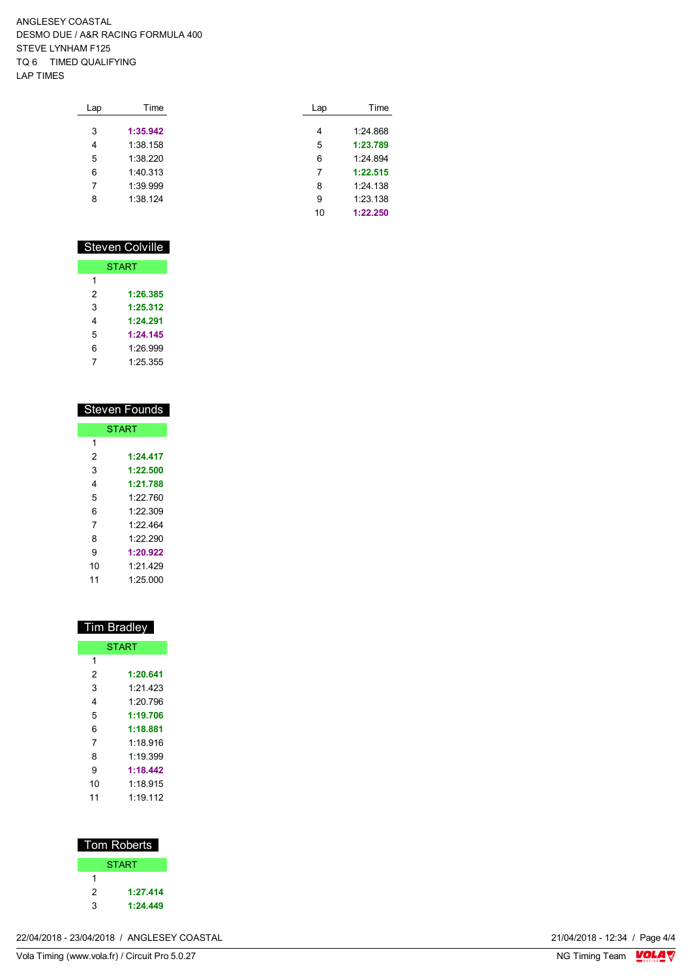ANGLESEY COASTAL DESMO DUE / A&R RACING FORMULA 400 STEVE LYNHAM F125 TQ 6 TIMED QUALIFYING LAP TIMES

| Lap | Time     | Lap | Time     |
|-----|----------|-----|----------|
| 3   | 1:35.942 | 4   | 1:24.868 |
| 4   | 1:38.158 | 5   | 1:23.789 |
| 5   | 1:38.220 | 6   | 1:24.894 |
| 6   | 1:40.313 | 7   | 1:22.515 |
| 7   | 1:39.999 | 8   | 1:24.138 |
| 8   | 1:38.124 | 9   | 1:23.138 |
|     |          | 10  | 1:22.250 |

### Steven Colville

| <b>START</b> |          |  |
|--------------|----------|--|
| 1            |          |  |
| 2            | 1:26.385 |  |
| 3            | 1:25.312 |  |
| 4            | 1:24.291 |  |
| 5            | 1:24.145 |  |
| 6            | 1.26.999 |  |
| 7            | 1.25 355 |  |

| <b>Steven Founds</b> |              |  |
|----------------------|--------------|--|
|                      | <b>START</b> |  |
| 1                    |              |  |
| 2                    | 1:24.417     |  |
| 3                    | 1:22.500     |  |
| 4                    | 1:21.788     |  |
| 5                    | 1.22 760     |  |
| 6                    | 1:22.309     |  |
| 7                    | 1.22 464     |  |
| 8                    | 1.22.290     |  |
| 9                    | 1:20.922     |  |
| 10                   | 1.21 429     |  |
| 11                   | 1.25 000     |  |

| <b>Tim Bradley</b> |          |  |
|--------------------|----------|--|
| <b>START</b>       |          |  |
| 1                  |          |  |
| 2                  | 1:20.641 |  |
| 3                  | 1.21 423 |  |
| 4                  | 1.20796  |  |
| 5                  | 1:19.706 |  |
| 6                  | 1:18.881 |  |
| 7                  | 1 18 916 |  |
| 8                  | 1:19.399 |  |
| 9                  | 1:18.442 |  |
| 10                 | 1:18 915 |  |
| 11                 | 1.19 112 |  |

| Tom Roberts |              |  |  |
|-------------|--------------|--|--|
|             | <b>START</b> |  |  |
| 1           |              |  |  |
| 2           | 1:27.414     |  |  |
| 3           | 1:24.449     |  |  |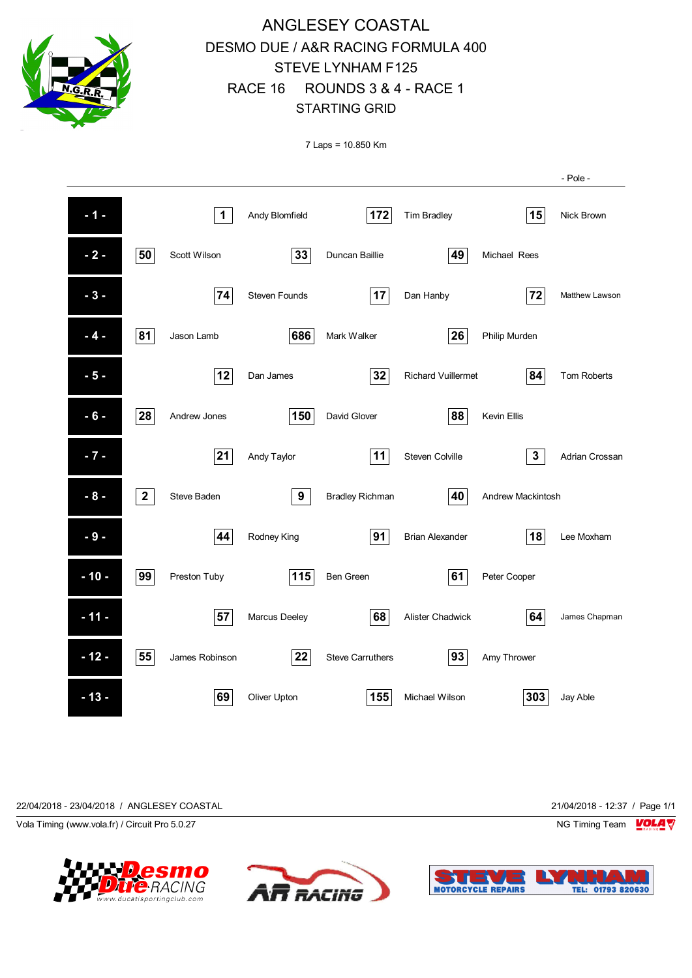

# ANGLESEY COASTAL DESMO DUE / A&R RACING FORMULA 400 STEVE LYNHAM F125 RACE 16 ROUNDS 3 & 4 - RACE 1 STARTING GRID

7 Laps = 10.850 Km

|        |              |                    |                      |                         |                           |                   | - Pole -       |
|--------|--------------|--------------------|----------------------|-------------------------|---------------------------|-------------------|----------------|
| $-1 -$ |              | $\mathbf 1$        | Andy Blomfield       | 172                     | <b>Tim Bradley</b>        | 15                | Nick Brown     |
| $-2-$  | 50           | Scott Wilson       | 33                   | Duncan Baillie          | 49                        | Michael Rees      |                |
| $-3-$  |              | 74                 | <b>Steven Founds</b> | 17                      | Dan Hanby                 | 72                | Matthew Lawson |
| $-4-$  | 81           | Jason Lamb         | 686                  | Mark Walker             | 26                        | Philip Murden     |                |
| $-5-$  |              | 12                 | Dan James            | 32                      | <b>Richard Vuillermet</b> | 84                | Tom Roberts    |
| $-6-$  | 28           | Andrew Jones       | 150                  | David Glover            | 88                        | Kevin Ellis       |                |
| $-7 -$ |              | 21                 | Andy Taylor          | 11                      | <b>Steven Colville</b>    | $\mathbf 3$       | Adrian Crossan |
| $-8-$  | $\mathbf{2}$ | <b>Steve Baden</b> | 9                    | <b>Bradley Richman</b>  | 40                        | Andrew Mackintosh |                |
| $-9-$  |              | 44                 | Rodney King          | 91                      | <b>Brian Alexander</b>    | 18                | Lee Moxham     |
| $-10-$ | 99           | Preston Tuby       | 115                  | <b>Ben Green</b>        | 61                        | Peter Cooper      |                |
| $-11-$ |              | 57                 | Marcus Deeley        | 68                      | Alister Chadwick          | 64                | James Chapman  |
| $-12-$ | 55           | James Robinson     | 22                   | <b>Steve Carruthers</b> | 93                        | Amy Thrower       |                |
| $-13-$ |              | 69                 | Oliver Upton         | 155                     | Michael Wilson            | 303               | Jay Able       |







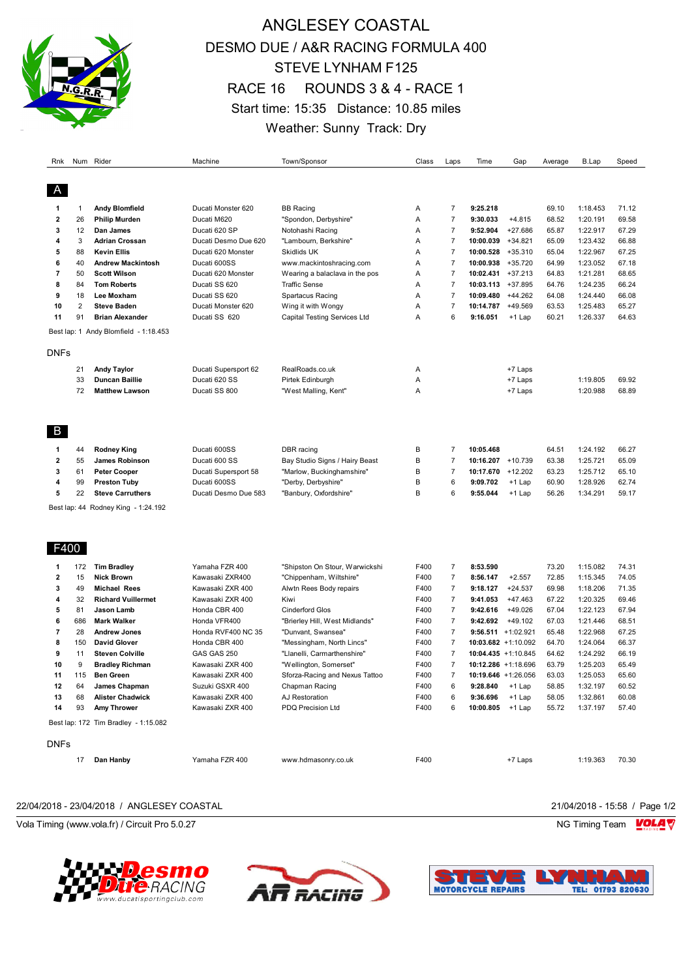

# ANGLESEY COASTAL DESMO DUE / A&R RACING FORMULA 400 STEVE LYNHAM F125 RACE 16 ROUNDS 3 & 4 - RACE 1 Start time: 15:35 Distance: 10.85 miles Weather: Sunny Track: Dry

| Rnk            |                | Num Rider                             | Machine              | Town/Sponsor                   | Class | Laps           | Time                   | Gap       | Average | <b>B.Lap</b> | Speed |
|----------------|----------------|---------------------------------------|----------------------|--------------------------------|-------|----------------|------------------------|-----------|---------|--------------|-------|
| A              |                |                                       |                      |                                |       |                |                        |           |         |              |       |
| 1              | 1              | <b>Andy Blomfield</b>                 | Ducati Monster 620   | <b>BB</b> Racing               | Α     | 7              | 9:25.218               |           | 69.10   | 1:18.453     | 71.12 |
| 2              | 26             | <b>Philip Murden</b>                  | Ducati M620          | "Spondon, Derbyshire"          | Α     | $\overline{7}$ | 9:30.033               | $+4.815$  | 68.52   | 1:20.191     | 69.58 |
| 3              | 12             | Dan James                             | Ducati 620 SP        | Notohashi Racing               | Α     | $\overline{7}$ | 9:52.904               | $+27.686$ | 65.87   | 1:22.917     | 67.29 |
| 4              | 3              | <b>Adrian Crossan</b>                 | Ducati Desmo Due 620 | "Lambourn, Berkshire"          | A     | $\overline{7}$ | 10:00.039              | $+34.821$ | 65.09   | 1:23.432     | 66.88 |
| 5              | 88             | <b>Kevin Ellis</b>                    | Ducati 620 Monster   | Skidlids UK                    | Α     | $\overline{7}$ | 10:00.528              | $+35.310$ | 65.04   | 1:22.967     | 67.25 |
| 6              | 40             | <b>Andrew Mackintosh</b>              | Ducati 600SS         | www.mackintoshracing.com       | Α     | $\overline{7}$ | 10:00.938              | $+35.720$ | 64.99   | 1:23.052     | 67.18 |
| $\overline{7}$ | 50             | <b>Scott Wilson</b>                   | Ducati 620 Monster   | Wearing a balaclava in the pos | Α     | $\overline{7}$ | 10:02.431              | $+37.213$ | 64.83   | 1:21.281     | 68.65 |
| 8              | 84             | <b>Tom Roberts</b>                    | Ducati SS 620        | <b>Traffic Sense</b>           | Α     | $\overline{7}$ | 10:03.113              | +37.895   | 64.76   | 1:24.235     | 66.24 |
| 9              | 18             | Lee Moxham                            | Ducati SS 620        | Spartacus Racing               | Α     | $\overline{7}$ | 10:09.480              | $+44.262$ | 64.08   | 1:24.440     | 66.08 |
| 10             | $\overline{2}$ | <b>Steve Baden</b>                    | Ducati Monster 620   | Wing it with Wongy             | Α     | $\overline{7}$ | 10:14.787              | +49.569   | 63.53   | 1:25.483     | 65.27 |
| 11             | 91             | <b>Brian Alexander</b>                | Ducati SS 620        | Capital Testing Services Ltd   | Α     | 6              | 9:16.051               | +1 Lap    | 60.21   | 1:26.337     | 64.63 |
|                |                | Best lap: 1 Andy Blomfield - 1:18.453 |                      |                                |       |                |                        |           |         |              |       |
| <b>DNFs</b>    |                |                                       |                      |                                |       |                |                        |           |         |              |       |
|                | 21             | <b>Andy Taylor</b>                    | Ducati Supersport 62 | RealRoads.co.uk                | Α     |                |                        | +7 Laps   |         |              |       |
|                | 33             | Duncan Baillie                        | Ducati 620 SS        | Pirtek Edinburgh               | A     |                |                        | +7 Laps   |         | 1:19.805     | 69.92 |
|                | 72             | <b>Matthew Lawson</b>                 | Ducati SS 800        | "West Malling, Kent"           | Α     |                |                        | +7 Laps   |         | 1:20.988     | 68.89 |
| B              |                |                                       |                      |                                |       |                |                        |           |         |              |       |
|                |                |                                       |                      |                                |       |                |                        |           |         |              |       |
| 1              | 44             | <b>Rodney King</b>                    | Ducati 600SS         | DBR racing                     | B     | $\overline{7}$ | 10:05.468              |           | 64.51   | 1:24.192     | 66.27 |
| 2              | 55             | <b>James Robinson</b>                 | Ducati 600 SS        | Bay Studio Signs / Hairy Beast | B     | $\overline{7}$ | $10:16.207 + 10.739$   |           | 63.38   | 1:25.721     | 65.09 |
| 3              | 61             | <b>Peter Cooper</b>                   | Ducati Supersport 58 | "Marlow, Buckinghamshire"      | B     | $\overline{7}$ | 10:17.670              | $+12.202$ | 63.23   | 1:25.712     | 65.10 |
| 4              | 99             | <b>Preston Tuby</b>                   | Ducati 600SS         | "Derby, Derbyshire"            | В     | 6              | 9:09.702               | $+1$ Lap  | 60.90   | 1:28.926     | 62.74 |
| 5              | 22             | <b>Steve Carruthers</b>               | Ducati Desmo Due 583 | "Banbury, Oxfordshire"         | B     | 6              | 9:55.044               | +1 Lap    | 56.26   | 1:34.291     | 59.17 |
|                |                | Best lap: 44 Rodney King - 1:24.192   |                      |                                |       |                |                        |           |         |              |       |
| F400           |                |                                       |                      |                                |       |                |                        |           |         |              |       |
| 1              | 172            | <b>Tim Bradley</b>                    | Yamaha FZR 400       | "Shipston On Stour, Warwickshi | F400  | 7              | 8:53.590               |           | 73.20   | 1:15.082     | 74.31 |
| $\mathbf{2}$   | 15             | <b>Nick Brown</b>                     | Kawasaki ZXR400      | "Chippenham, Wiltshire"        | F400  | $\overline{7}$ | 8:56.147               | $+2.557$  | 72.85   | 1:15.345     | 74.05 |
| 3              | 49             | <b>Michael Rees</b>                   | Kawasaki ZXR 400     | Alwtn Rees Body repairs        | F400  | $\overline{7}$ | 9:18.127               | $+24.537$ | 69.98   | 1:18.206     | 71.35 |
| 4              | 32             | <b>Richard Vuillermet</b>             | Kawasaki ZXR 400     | Kiwi                           | F400  | $\overline{7}$ | 9:41.053               | $+47.463$ | 67.22   | 1:20.325     | 69.46 |
| 5              | 81             | Jason Lamb                            | Honda CBR 400        | <b>Cinderford Glos</b>         | F400  | $\overline{7}$ | 9:42.616               | $+49.026$ | 67.04   | 1:22.123     | 67.94 |
| 6              | 686            | <b>Mark Walker</b>                    | Honda VFR400         | "Brierley Hill, West Midlands" | F400  | $\overline{7}$ | 9:42.692               | $+49.102$ | 67.03   | 1:21.446     | 68.51 |
| 7              | 28             | <b>Andrew Jones</b>                   | Honda RVF400 NC 35   | "Dunvant, Swansea"             | F400  | $\overline{7}$ | $9:56.511 + 1:02.921$  |           | 65.48   | 1:22.968     | 67.25 |
| 8              | 150            | <b>David Glover</b>                   | Honda CBR 400        | "Messingham, North Lincs"      | F400  | $\overline{7}$ | 10:03.682 +1:10.092    |           | 64.70   | 1:24.064     | 66.37 |
| 9              | 11             | <b>Steven Colville</b>                | GAS GAS 250          | "Llanelli, Carmarthenshire"    | F400  | $\overline{7}$ | $10:04.435 + 1:10.845$ |           | 64.62   | 1:24.292     | 66.19 |
| 10             | 9              | <b>Bradley Richman</b>                | Kawasaki ZXR 400     | "Wellington, Somerset"         | F400  | $\overline{7}$ | $10:12.286 + 1:18.696$ |           | 63.79   | 1:25.203     | 65.49 |
| 11             | 115            | <b>Ben Green</b>                      | Kawasaki ZXR 400     | Sforza-Racing and Nexus Tattoo | F400  | $\overline{7}$ | 10:19.646 +1:26.056    |           | 63.03   | 1:25.053     | 65.60 |
| 12             | 64             | James Chapman                         | Suzuki GSXR 400      | Chapman Racing                 | F400  | 6              | 9:28.840               | +1 Lap    | 58.85   | 1:32.197     | 60.52 |
| 13             | 68             | <b>Alister Chadwick</b>               | Kawasaki ZXR 400     | AJ Restoration                 | F400  | 6              | 9:36.696               | +1 Lap    | 58.05   | 1:32.861     | 60.08 |
| 14             | 93             | Amy Thrower                           | Kawasaki ZXR 400     | PDQ Precision Ltd              | F400  | 6              | 10:00.805              | +1 Lap    | 55.72   | 1:37.197     | 57.40 |
|                |                | Best lap: 172 Tim Bradley - 1:15.082  |                      |                                |       |                |                        |           |         |              |       |
| <b>DNFs</b>    |                |                                       |                      |                                |       |                |                        |           |         |              |       |
|                | 17             | Dan Hanby                             | Yamaha FZR 400       | www.hdmasonry.co.uk            | F400  |                |                        | +7 Laps   |         | 1:19.363     | 70.30 |

22/04/2018 - 23/04/2018 / ANGLESEY COASTAL 21/04/2018 - 15:58 / Page 1/2

Vola Timing (www.vola.fr) / Circuit Pro 5.0.27 NG Timing Team Note that the Subset of the Subset of the Subset of the Subset of the Subset of the Subset of the Subset of the Subset of the Subset of the Subset of the Subset





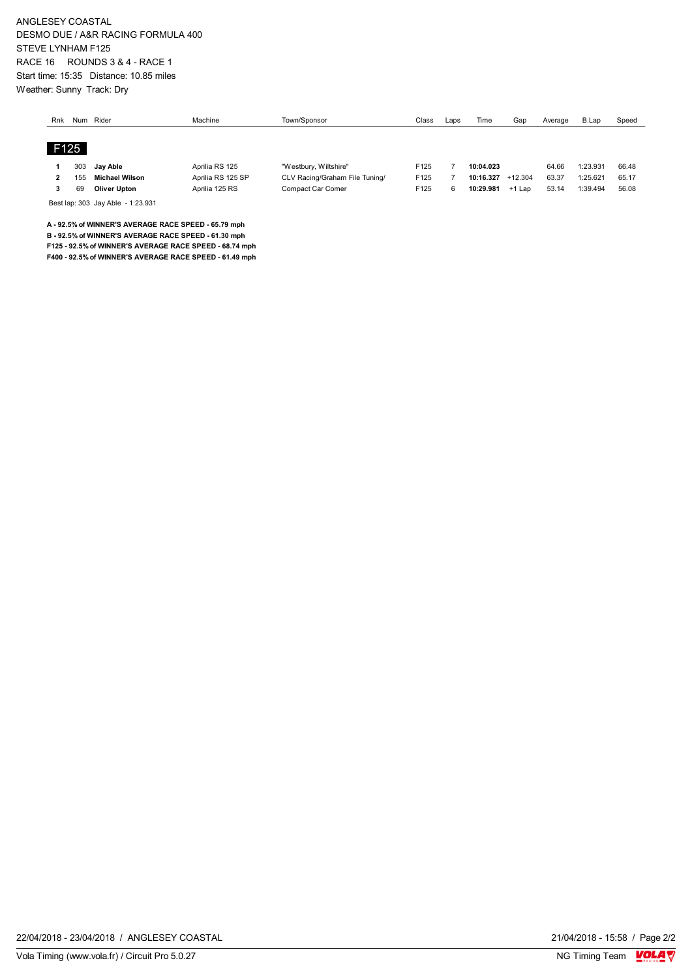ANGLESEY COASTAL DESMO DUE / A&R RACING FORMULA 400 STEVE LYNHAM F125 RACE 16 ROUNDS 3 & 4 - RACE 1 Start time: 15:35 Distance: 10.85 miles Weather: Sunny Track: Dry

| Rnk | Num  | Rider                 | Machine           | Town/Sponsor                   | Class | Laps | Time      | Gap       | Average | B.Lap    | Speed |
|-----|------|-----------------------|-------------------|--------------------------------|-------|------|-----------|-----------|---------|----------|-------|
|     |      |                       |                   |                                |       |      |           |           |         |          |       |
|     | F125 |                       |                   |                                |       |      |           |           |         |          |       |
|     | 303  | Jav Able              | Aprilia RS 125    | "Westbury, Wiltshire"          | F125  |      | 10:04.023 |           | 64.66   | 1:23.931 | 66.48 |
|     | 155  | <b>Michael Wilson</b> | Aprilia RS 125 SP | CLV Racing/Graham File Tuning/ | F125  |      | 10:16.327 | $+12.304$ | 63.37   | 1:25.621 | 65.17 |
|     | 69   | <b>Oliver Upton</b>   | Aprilia 125 RS    | Compact Car Corner             | F125  | -6   | 10:29.981 | $+1$ Lap  | 53.14   | 1:39.494 | 56.08 |

Best lap: 303 Jay Able - 1:23.931

**A - 92.5% of WINNER'S AVERAGE RACE SPEED - 65.79 mph B - 92.5% of WINNER'S AVERAGE RACE SPEED - 61.30 mph**

**F125 - 92.5% of WINNER'S AVERAGE RACE SPEED - 68.74 mph**

**F400 - 92.5% of WINNER'S AVERAGE RACE SPEED - 61.49 mph**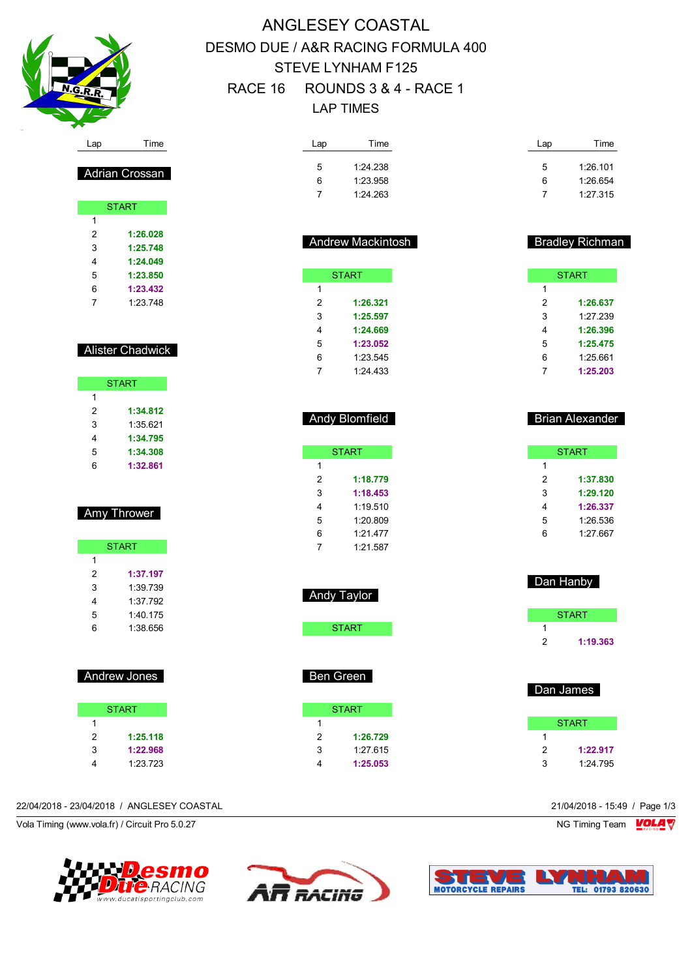

# ANGLESEY COASTAL DESMO DUE / A&R RACING FORMULA 400 STEVE LYNHAM F125 RACE 16 ROUNDS 3 & 4 - RACE 1 LAP TIMES

| Lap | Time     | Lap | Time     |
|-----|----------|-----|----------|
| 5   | 1:24.238 | 5   | 1:26.101 |
| 6   | 1:23.958 | 6   | 1:26.654 |
|     | 1:24.263 |     | 1:27.315 |

|                | <b>Andrew Mackintosh</b> |   | <b>Bradley Richman</b> |
|----------------|--------------------------|---|------------------------|
|                | <b>START</b>             |   | <b>START</b>           |
| 1              |                          | 1 |                        |
| $\overline{2}$ | 1:26.321                 | 2 | 1:26.637               |
| 3              | 1:25.597                 | 3 | 1:27.239               |
| 4              | 1:24.669                 | 4 | 1:26.396               |
| 5              | 1:23.052                 | 5 | 1:25.475               |
| 6              | 1:23.545                 | 6 | 1:25.661               |
|                | 1:24.433                 |   | 1:25.203               |

| <b>Andy Blomfield</b> |
|-----------------------|
|                       |
|                       |

|   | START    |
|---|----------|
| 1 |          |
| 2 | 1:18.779 |
| 3 | 1:18.453 |
| 4 | 1.19510  |
| 5 | 1:20.809 |
| 6 | 1.21.477 |
|   | 1.21 587 |

| Brian Alexander |
|-----------------|
|                 |

|   | <b>START</b> |
|---|--------------|
| 1 |              |
| 2 | 1:37.830     |
| 3 | 1:29.120     |
| 4 | 1:26.337     |
| 5 | 1:26.536     |
| հ | 1:27.667     |
|   |              |

| <b>START</b>  |
|---------------|
| 1             |
| 1:19.363<br>2 |

|   | Dan James    |
|---|--------------|
|   | <b>START</b> |
| 1 |              |
| 2 | 1:22.917     |
| з | 1:24.795     |

#### 22/04/2018 - 23/04/2018 / ANGLESEY COASTAL 21/04/2018 - 15:49 / Page 1/3

Vola Timing (www.vola.fr) / Circuit Pro 5.0.27 NG Timing Team Muslem Control of the Superior Section 1997 NG Timing Team Muslem Team Muslem Team Muslem Team Muslem Team Muslem Team Muslem Team Muslem Team Muslem Team Musle







| Andy Taylor |  |
|-------------|--|
|             |  |

START

# Ben Green

|   | START    |
|---|----------|
| 1 |          |
| 2 | 1:26.729 |
| 3 | 1:27.615 |
| 4 | 1:25.053 |
|   |          |

 **1:23.850 1:23.432** 1:23.748

## Alister Chadwick

Adrian Crossan

**START** 

 **1:26.028 1:25.748 1:24.049**

|   | <b>START</b> |
|---|--------------|
| 1 |              |
| 2 | 1:34.812     |
| 3 | 1:35621      |
| 4 | 1:34.795     |
| 5 | 1:34.308     |
| հ | 1:32.861     |

## Amy Thrower

Г

| <b>START</b> |          |
|--------------|----------|
| 1            |          |
| 2            | 1:37.197 |
| 3            | 1:39 739 |
| 4            | 1:37 792 |
| 5            | 1:40.175 |
| 6            | 1:38.656 |

| Andrew Jones |
|--------------|
| <b>START</b> |

| 1 |          |
|---|----------|
| 2 | 1:25.118 |
| 3 | 1:22.968 |
| 4 | 1:23.723 |

| <b>Andy Taylo</b> |  |
|-------------------|--|
|                   |  |

|   | START    |
|---|----------|
| 1 |          |
| 2 | 1:26.729 |
| 3 | 1.27 615 |
| 4 | 1:25.053 |
|   |          |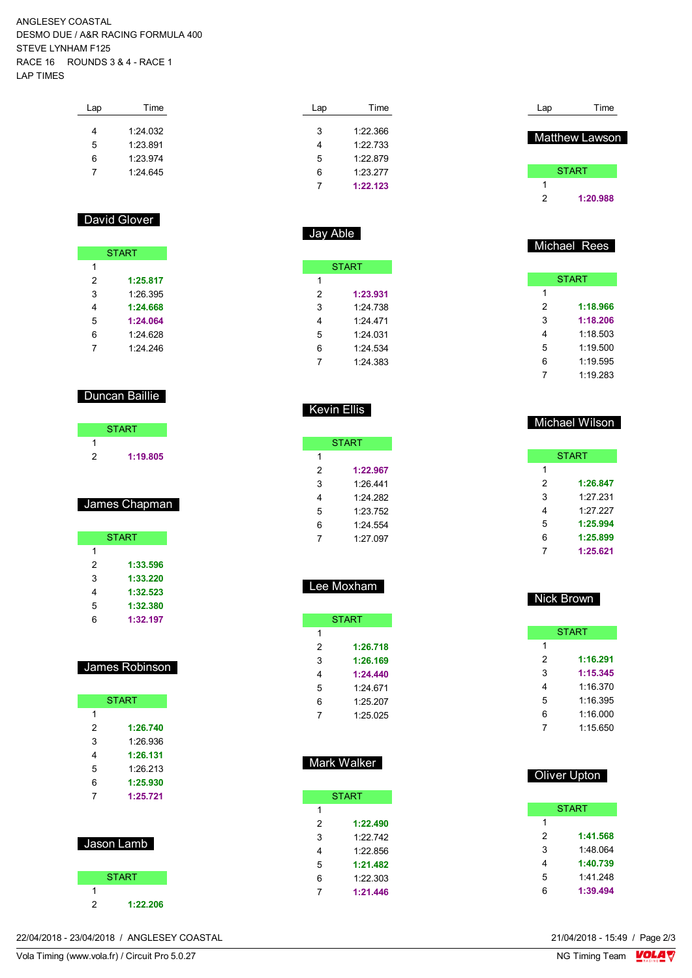#### ANGLESEY COASTAL DESMO DUE / A&R RACING FORMULA 400 STEVE LYNHAM F125 RACE 16 ROUNDS 3 & 4 - RACE 1 LAP TIMES

| Lap | Time     |
|-----|----------|
| 4   | 1:24.032 |
| 5   | 1:23.891 |
| 6   | 1.23.974 |
| 7   | 1.24645  |
|     |          |

### David Glover

| <b>START</b> |          |
|--------------|----------|
| 1            |          |
| 2            | 1:25.817 |
| 3            | 1:26.395 |
| 4            | 1:24.668 |
| 5            | 1:24.064 |
| 6            | 1:24.628 |
|              | 1.24 246 |

## Duncan Baillie

| <b>START</b> |  |
|--------------|--|
|              |  |
| 1:19.805     |  |

### James Chapman

|   | <b>START</b> |
|---|--------------|
| 1 |              |
| 2 | 1:33.596     |
| 3 | 1:33.220     |
| 4 | 1:32.523     |
| 5 | 1:32.380     |
| հ | 1:32.197     |

#### James Robinson

| <b>START</b> |          |  |
|--------------|----------|--|
| 1            |          |  |
| 2            | 1:26.740 |  |
| 3            | 1.26.936 |  |
| 4            | 1:26.131 |  |
| 5            | 1.26 213 |  |
| 6            | 1:25.930 |  |
| 7            | 1:25.721 |  |
|              |          |  |
|              |          |  |

| Jason Lamb   |  |  |
|--------------|--|--|
|              |  |  |
| <b>START</b> |  |  |

**1:22.206**

| Lap | Time     |
|-----|----------|
|     |          |
| 3   | 1.22.366 |
| 4   | 1:22733  |
| 5   | 1.22879  |
| 6   | 1:23.277 |
|     | 1:22.123 |

| <b>START</b> |          |  |  |
|--------------|----------|--|--|
| 1            |          |  |  |
| 2            | 1:23.931 |  |  |
| 3            | 1:24 738 |  |  |
| 4            | 1.24471  |  |  |
| 5            | 1.24031  |  |  |
| 6            | 1.24 534 |  |  |
| 7            | 1.24 383 |  |  |

### Kevin Ellis

|   | START    |
|---|----------|
| 1 |          |
| 2 | 1:22.967 |
| 3 | 1.26.441 |
| 4 | 1.24.282 |
| 5 | 1.23.752 |
| 6 | 1.24.554 |
| 7 | 1.27097  |

| Lee Moxham |
|------------|

|   | <b>START</b> |
|---|--------------|
| 1 |              |
| 2 | 1:26.718     |
| 3 | 1:26.169     |
| 4 | 1:24.440     |
| 5 | 1.24 671     |
| 6 | 1:25.207     |
| 7 | 1.25 025     |

Mark Walker

**START** 

 **1:22.490** 1:22.742 1:22.856 **1:21.482** 1:22.303 **1:21.446**

| Lap | Time           |
|-----|----------------|
|     | Matthew Lawson |
|     | <b>START</b>   |
|     |                |
| 2   | 1:20.988       |

#### Michael Rees

| START |          |  |
|-------|----------|--|
| 1     |          |  |
| 2     | 1:18.966 |  |
| 3     | 1:18.206 |  |
| 4     | 1:18.503 |  |
| 5     | 1:19.500 |  |
| 6     | 1:19.595 |  |
|       | 1:19.283 |  |

|   | <b>START</b> |
|---|--------------|
| 1 |              |
| 2 | 1:26.847     |
| 3 | 1:27.231     |
| 4 | 1.27.227     |
| 5 | 1:25.994     |
| 6 | 1:25.899     |
|   | 1:25.621     |

Michael Wilson

| Nick Brown |   |              |  |
|------------|---|--------------|--|
|            |   | <b>START</b> |  |
|            | 1 |              |  |
|            | 2 | 1:16.291     |  |
|            | 3 | 1:15.345     |  |
|            | 4 | 1.16370      |  |
|            | 5 | 1.16.395     |  |
|            | 6 | 1.16000      |  |
|            | 7 | 1:15.650     |  |

|   | Oliver Upton |
|---|--------------|
|   | <b>START</b> |
| 1 |              |
| 2 | 1:41.568     |
| 3 | 1:48.064     |
| 4 | 1:40.739     |
| 5 | 1:41.248     |
| 6 | 1:39.494     |

22/04/2018 - 23/04/2018 / ANGLESEY COASTAL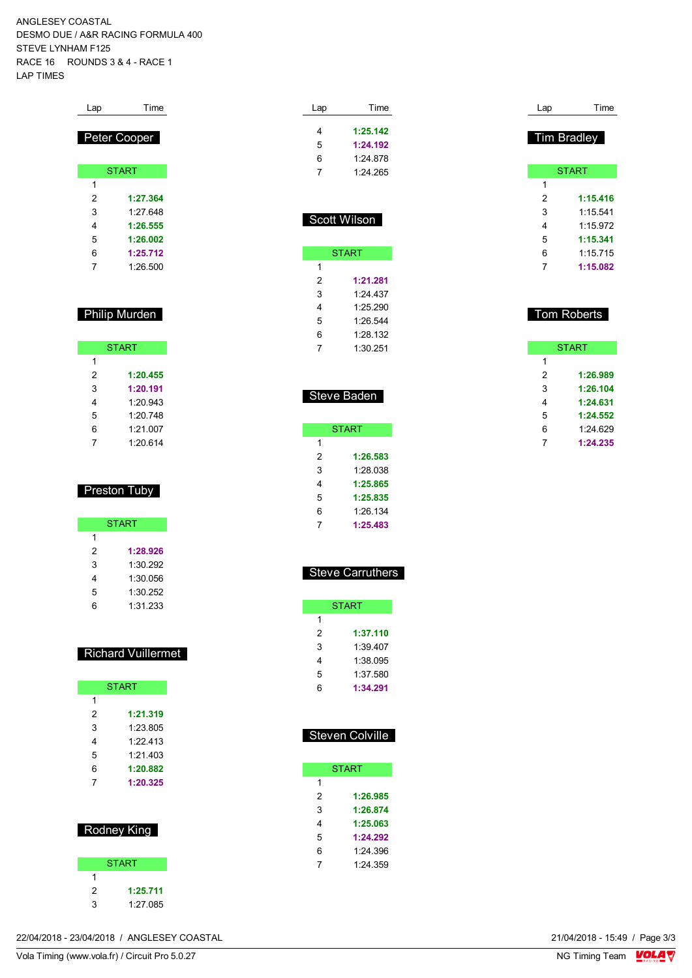ANGLESEY COASTAL DESMO DUE / A&R RACING FORMULA 400 STEVE LYNHAM F125 RACE 16 ROUNDS 3 & 4 - RACE 1 LAP TIMES

| Lap | Time         |
|-----|--------------|
|     |              |
|     | Peter Cooper |
|     | <b>START</b> |
| 1   |              |
| 2   | 1:27.364     |
| 3   | 1.27 648     |
| 4   | 1:26.555     |
| 5   | 1:26.002     |
| 6   | 1:25.712     |
| 7   | 1:26.500     |

### Philip Murden

| <b>START</b> |          |
|--------------|----------|
| 1            |          |
| 2            | 1:20.455 |
| 3            | 1:20.191 |
| 4            | 1.20943  |
| 5            | 1.20748  |
| 6            | 1.21007  |
|              | 1:20.614 |

### Preston Tuby

|   | <b>START</b> |
|---|--------------|
| 1 |              |
| 2 | 1:28.926     |
| 3 | 1:30.292     |
| 4 | 1:30.056     |
| 5 | 1:30.252     |
| հ | 1:31.233     |

#### Richard Vuillermet

| <b>START</b> |
|--------------|
|              |
| 1:21.319     |
| 1:23.805     |
| 1:22.413     |
| 1.21403      |
| 1:20.882     |
| 1:20.325     |
|              |

|   | Rodney King  |
|---|--------------|
|   | <b>START</b> |
| 1 |              |
| 2 | 1:25.711     |
| 3 | 1:27.085     |

| Lap | Time     |
|-----|----------|
| 4   | 1:25.142 |
| 5   | 1:24.192 |
| 6   | 1:24.878 |
|     | 1:24.265 |

|   | <b>START</b> |
|---|--------------|
| 1 |              |
| 2 | 1:21.281     |
| 3 | 1:24.437     |
| 4 | 1.25290      |
| 5 | 1.26.544     |
| 6 | 1:28.132     |
| 7 | 1:30.251     |

Scott Wilson

|   | <b>START</b> |
|---|--------------|
| 1 |              |
| 2 | 1:26.583     |
| 3 | 1:28 038     |
| 4 | 1:25.865     |
| 5 | 1:25.835     |
| 6 | 1:26.134     |
|   | 1:25.483     |

Steve Baden

| <b>Steve Carruthers</b> |  |
|-------------------------|--|
|-------------------------|--|

|   | START    |
|---|----------|
| 1 |          |
| 2 | 1:37.110 |
| 3 | 1:39 407 |
| 4 | 1:38 095 |
| 5 | 1:37 580 |
| հ | 1:34.291 |

## Steven Colville

|   | <b>START</b> |
|---|--------------|
| 1 |              |
| 2 | 1:26.985     |
| 3 | 1:26.874     |
| 4 | 1:25.063     |
| 5 | 1:24.292     |
| 6 | 1:24.396     |
| 7 | 1.24.359     |
|   |              |

| Lap                | Time         |  |  |  |  |  |  |  |  |  |  |  |  |
|--------------------|--------------|--|--|--|--|--|--|--|--|--|--|--|--|
| <b>Tim Bradley</b> |              |  |  |  |  |  |  |  |  |  |  |  |  |
|                    | <b>START</b> |  |  |  |  |  |  |  |  |  |  |  |  |
| 1                  |              |  |  |  |  |  |  |  |  |  |  |  |  |
| 2                  | 1:15.416     |  |  |  |  |  |  |  |  |  |  |  |  |
| 3                  | 1:15.541     |  |  |  |  |  |  |  |  |  |  |  |  |
| 4                  | 1.15972      |  |  |  |  |  |  |  |  |  |  |  |  |
| 5                  | 1:15.341     |  |  |  |  |  |  |  |  |  |  |  |  |
| 6                  | 1:15.715     |  |  |  |  |  |  |  |  |  |  |  |  |
| 7                  | 1:15.082     |  |  |  |  |  |  |  |  |  |  |  |  |
|                    |              |  |  |  |  |  |  |  |  |  |  |  |  |
|                    |              |  |  |  |  |  |  |  |  |  |  |  |  |

### Tom Roberts

| START |          |  |  |  |  |  |  |  |  |  |  |
|-------|----------|--|--|--|--|--|--|--|--|--|--|
| 1     |          |  |  |  |  |  |  |  |  |  |  |
| 2     | 1:26.989 |  |  |  |  |  |  |  |  |  |  |
| 3     | 1:26.104 |  |  |  |  |  |  |  |  |  |  |
| 4     | 1:24.631 |  |  |  |  |  |  |  |  |  |  |
| 5     | 1:24.552 |  |  |  |  |  |  |  |  |  |  |
| 6     | 1:24.629 |  |  |  |  |  |  |  |  |  |  |
| 7     | 1:24.235 |  |  |  |  |  |  |  |  |  |  |